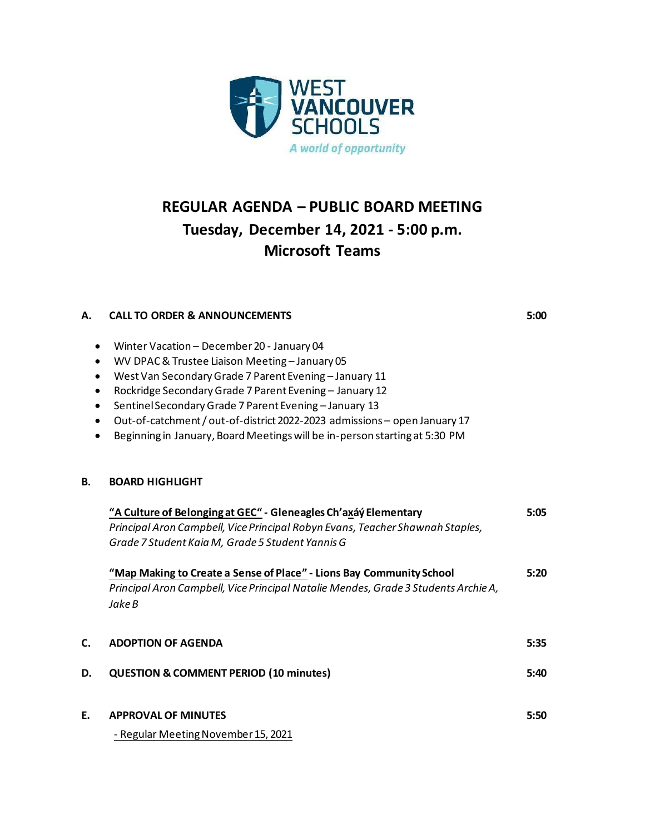

# **REGULAR AGENDA – PUBLIC BOARD MEETING Tuesday, December 14, 2021 - 5:00 p.m. Microsoft Teams**

### **A. CALL TO ORDER & ANNOUNCEMENTS 5:00**

- Winter Vacation December 20 January 04
- WV DPAC & Trustee Liaison Meeting January 05
- West Van Secondary Grade 7 Parent Evening January 11
- Rockridge Secondary Grade 7 Parent Evening January 12
- Sentinel Secondary Grade 7 Parent Evening January 13
- Out-of-catchment / out-of-district 2022-2023 admissions open January 17
- Beginning in January, Board Meetings will be in-person starting at 5:30 PM

#### **B. BOARD HIGHLIGHT**

|    | "A Culture of Belonging at GEC" - Gleneagles Ch'axáy Elementary                              |      |
|----|----------------------------------------------------------------------------------------------|------|
|    | Principal Aron Campbell, Vice Principal Robyn Evans, Teacher Shawnah Staples,                |      |
|    | Grade 7 Student Kaia M, Grade 5 Student Yannis G                                             |      |
|    | "Map Making to Create a Sense of Place" - Lions Bay Community School                         | 5:20 |
|    | Principal Aron Campbell, Vice Principal Natalie Mendes, Grade 3 Students Archie A,<br>Jake B |      |
| C. | <b>ADOPTION OF AGENDA</b>                                                                    | 5:35 |
| D. | <b>QUESTION &amp; COMMENT PERIOD (10 minutes)</b>                                            | 5:40 |
| E. | <b>APPROVAL OF MINUTES</b>                                                                   | 5:50 |
|    | - Regular Meeting November 15, 2021                                                          |      |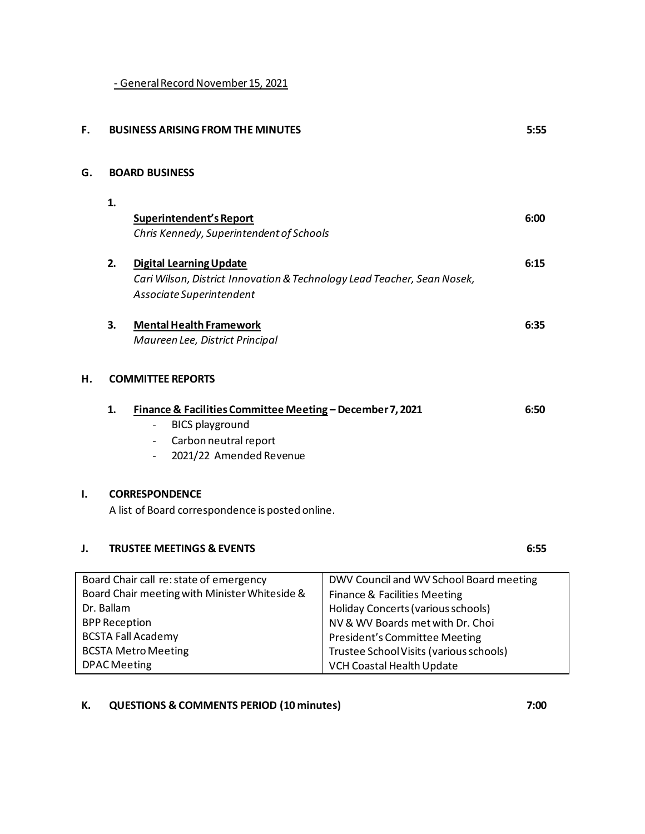- General Record November 15, 2021

| F.                                                                                                                                                                                        |                          | <b>BUSINESS ARISING FROM THE MINUTES</b>                                                                                                                                                            |                                                                                                                                                                                                                               | 5:55 |  |
|-------------------------------------------------------------------------------------------------------------------------------------------------------------------------------------------|--------------------------|-----------------------------------------------------------------------------------------------------------------------------------------------------------------------------------------------------|-------------------------------------------------------------------------------------------------------------------------------------------------------------------------------------------------------------------------------|------|--|
| G.                                                                                                                                                                                        |                          | <b>BOARD BUSINESS</b>                                                                                                                                                                               |                                                                                                                                                                                                                               |      |  |
|                                                                                                                                                                                           | 1.                       |                                                                                                                                                                                                     |                                                                                                                                                                                                                               |      |  |
|                                                                                                                                                                                           |                          | Superintendent's Report<br>Chris Kennedy, Superintendent of Schools                                                                                                                                 |                                                                                                                                                                                                                               | 6:00 |  |
|                                                                                                                                                                                           | 2.                       | <b>Digital Learning Update</b><br>Cari Wilson, District Innovation & Technology Lead Teacher, Sean Nosek,<br>Associate Superintendent                                                               |                                                                                                                                                                                                                               | 6:15 |  |
|                                                                                                                                                                                           | 3.                       | <b>Mental Health Framework</b><br>Maureen Lee, District Principal                                                                                                                                   |                                                                                                                                                                                                                               | 6:35 |  |
| н.                                                                                                                                                                                        | <b>COMMITTEE REPORTS</b> |                                                                                                                                                                                                     |                                                                                                                                                                                                                               |      |  |
|                                                                                                                                                                                           | 1.                       | Finance & Facilities Committee Meeting - December 7, 2021<br><b>BICS playground</b><br>$\qquad \qquad \blacksquare$<br>Carbon neutral report<br>$\overline{\phantom{a}}$<br>2021/22 Amended Revenue |                                                                                                                                                                                                                               | 6:50 |  |
| I.<br><b>CORRESPONDENCE</b><br>A list of Board correspondence is posted online.                                                                                                           |                          |                                                                                                                                                                                                     |                                                                                                                                                                                                                               |      |  |
| J.                                                                                                                                                                                        |                          | <b>TRUSTEE MEETINGS &amp; EVENTS</b>                                                                                                                                                                |                                                                                                                                                                                                                               | 6:55 |  |
| Board Chair call re: state of emergency<br>Board Chair meeting with Minister Whiteside &<br>Dr. Ballam<br><b>BPP Reception</b><br><b>BCSTA Fall Academy</b><br><b>BCSTA Metro Meeting</b> |                          |                                                                                                                                                                                                     | DWV Council and WV School Board meeting<br>Finance & Facilities Meeting<br>Holiday Concerts (various schools)<br>NV & WV Boards met with Dr. Choi<br>President's Committee Meeting<br>Trustee School Visits (various schools) |      |  |

VCH Coastal Health Update

# **K. QUESTIONS & COMMENTS PERIOD (10 minutes) 7:00**

DPAC Meeting